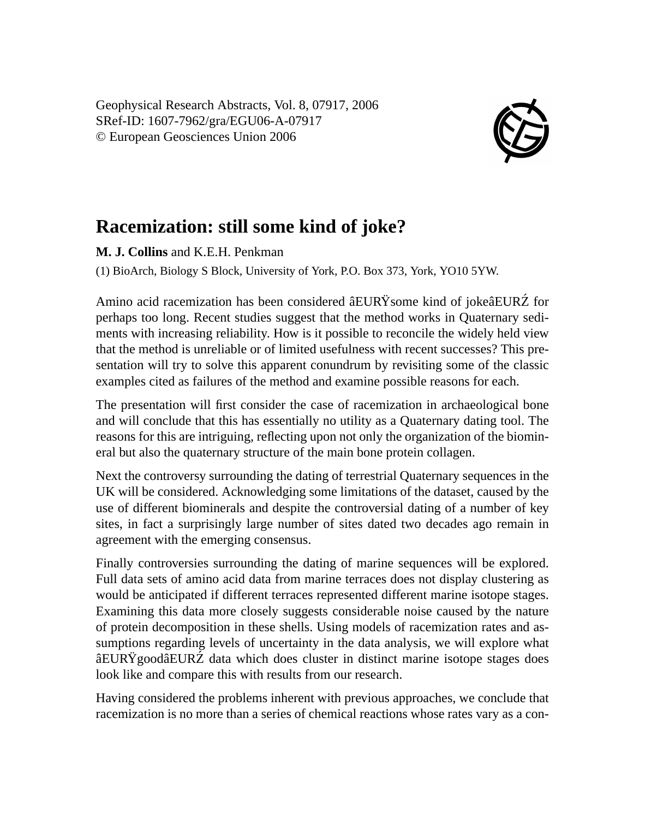Geophysical Research Abstracts, Vol. 8, 07917, 2006 SRef-ID: 1607-7962/gra/EGU06-A-07917 © European Geosciences Union 2006



## **Racemization: still some kind of joke?**

**M. J. Collins** and K.E.H. Penkman

(1) BioArch, Biology S Block, University of York, P.O. Box 373, York, YO10 5YW.

Amino acid racemization has been considered âEURŸsome kind of jokeâEURŹ for perhaps too long. Recent studies suggest that the method works in Quaternary sediments with increasing reliability. How is it possible to reconcile the widely held view that the method is unreliable or of limited usefulness with recent successes? This presentation will try to solve this apparent conundrum by revisiting some of the classic examples cited as failures of the method and examine possible reasons for each.

The presentation will first consider the case of racemization in archaeological bone and will conclude that this has essentially no utility as a Quaternary dating tool. The reasons for this are intriguing, reflecting upon not only the organization of the biomineral but also the quaternary structure of the main bone protein collagen.

Next the controversy surrounding the dating of terrestrial Quaternary sequences in the UK will be considered. Acknowledging some limitations of the dataset, caused by the use of different biominerals and despite the controversial dating of a number of key sites, in fact a surprisingly large number of sites dated two decades ago remain in agreement with the emerging consensus.

Finally controversies surrounding the dating of marine sequences will be explored. Full data sets of amino acid data from marine terraces does not display clustering as would be anticipated if different terraces represented different marine isotope stages. Examining this data more closely suggests considerable noise caused by the nature of protein decomposition in these shells. Using models of racemization rates and assumptions regarding levels of uncertainty in the data analysis, we will explore what  $\hat{a} \in \hat{C}$  alta which does cluster in distinct marine isotope stages does look like and compare this with results from our research.

Having considered the problems inherent with previous approaches, we conclude that racemization is no more than a series of chemical reactions whose rates vary as a con